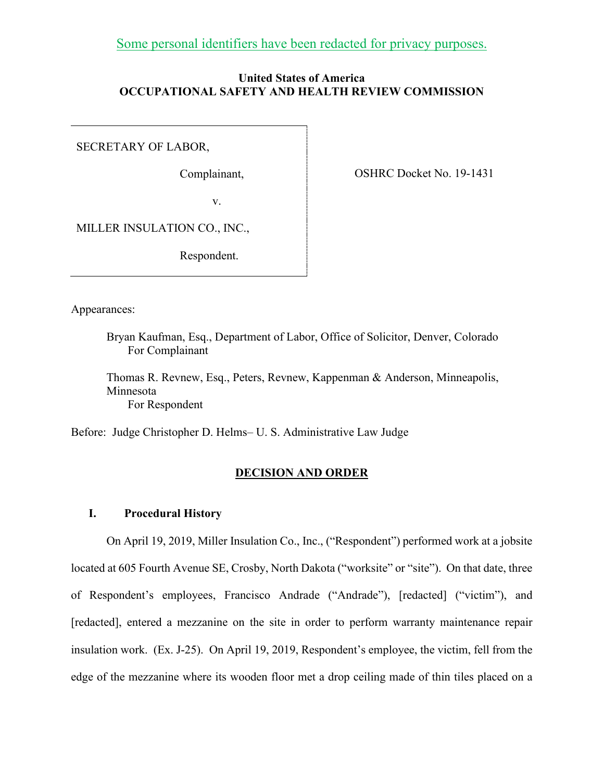Some personal identifiers have been redacted for privacy purposes.

# **United States of America OCCUPATIONAL SAFETY AND HEALTH REVIEW COMMISSION**

SECRETARY OF LABOR,

Complainant,

OSHRC Docket No. 19-1431

v.

MILLER INSULATION CO., INC.,

Respondent.

Appearances:

Bryan Kaufman, Esq., Department of Labor, Office of Solicitor, Denver, Colorado For Complainant

Thomas R. Revnew, Esq., Peters, Revnew, Kappenman & Anderson, Minneapolis, Minnesota For Respondent

Before: Judge Christopher D. Helms– U. S. Administrative Law Judge

# **DECISION AND ORDER**

### **I. Procedural History**

On April 19, 2019, Miller Insulation Co., Inc., ("Respondent") performed work at a jobsite located at 605 Fourth Avenue SE, Crosby, North Dakota ("worksite" or "site"). On that date, three of Respondent's employees, Francisco Andrade ("Andrade"), [redacted] ("victim"), and [redacted], entered a mezzanine on the site in order to perform warranty maintenance repair insulation work. (Ex. J-25). On April 19, 2019, Respondent's employee, the victim, fell from the edge of the mezzanine where its wooden floor met a drop ceiling made of thin tiles placed on a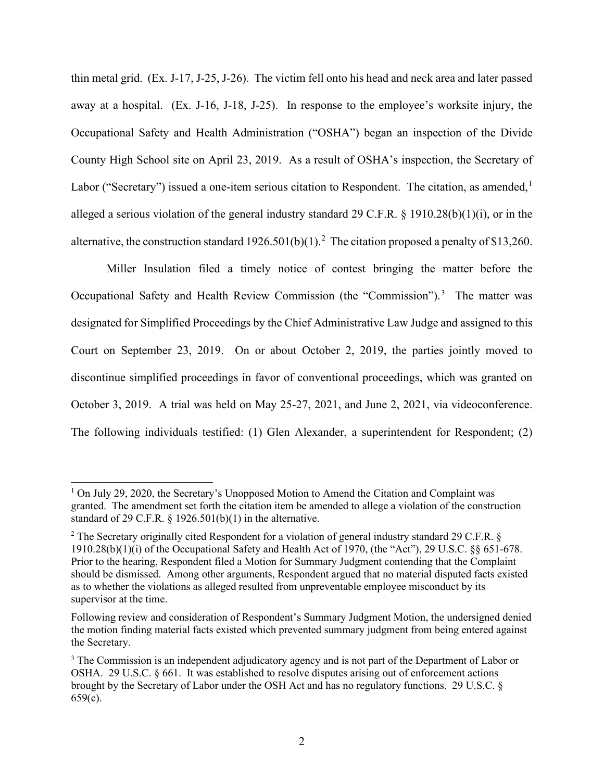thin metal grid. (Ex. J-17, J-25, J-26). The victim fell onto his head and neck area and later passed away at a hospital. (Ex. J-16, J-18, J-25). In response to the employee's worksite injury, the Occupational Safety and Health Administration ("OSHA") began an inspection of the Divide County High School site on April 23, 2019. As a result of OSHA's inspection, the Secretary of Labor ("Secretary") issued a one-item serious citation to Respondent. The citation, as amended,  $\frac{1}{1}$ alleged a serious violation of the general industry standard 29 C.F.R. § 1910.28(b)(1)(i), or in the alternative, the construction standard  $1926.501(b)(1)$ .<sup>2</sup> The citation proposed a penalty of \$13,260.

Miller Insulation filed a timely notice of contest bringing the matter before the Occupational Safety and Health Review Commission (the "Commission").<sup>3</sup> The matter was designated for Simplified Proceedings by the Chief Administrative Law Judge and assigned to this Court on September 23, 2019. On or about October 2, 2019, the parties jointly moved to discontinue simplified proceedings in favor of conventional proceedings, which was granted on October 3, 2019. A trial was held on May 25-27, 2021, and June 2, 2021, via videoconference. The following individuals testified: (1) Glen Alexander, a superintendent for Respondent; (2)

<sup>&</sup>lt;sup>1</sup> On July 29, 2020, the Secretary's Unopposed Motion to Amend the Citation and Complaint was granted. The amendment set forth the citation item be amended to allege a violation of the construction standard of 29 C.F.R.  $\S$  1926.501(b)(1) in the alternative.

<sup>&</sup>lt;sup>2</sup> The Secretary originally cited Respondent for a violation of general industry standard 29 C.F.R.  $\S$ 1910.28(b)(1)(i) of the Occupational Safety and Health Act of 1970, (the "Act"), 29 U.S.C. §§ 651-678. Prior to the hearing, Respondent filed a Motion for Summary Judgment contending that the Complaint should be dismissed. Among other arguments, Respondent argued that no material disputed facts existed as to whether the violations as alleged resulted from unpreventable employee misconduct by its supervisor at the time.

Following review and consideration of Respondent's Summary Judgment Motion, the undersigned denied the motion finding material facts existed which prevented summary judgment from being entered against the Secretary.

<sup>&</sup>lt;sup>3</sup> The Commission is an independent adjudicatory agency and is not part of the Department of Labor or OSHA. 29 U.S.C. § 661. It was established to resolve disputes arising out of enforcement actions brought by the Secretary of Labor under the OSH Act and has no regulatory functions. 29 U.S.C. § 659(c).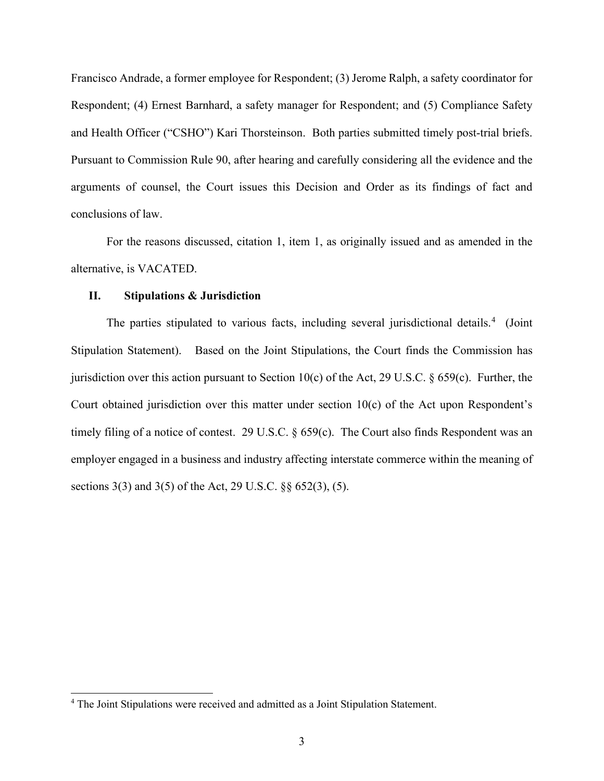Francisco Andrade, a former employee for Respondent; (3) Jerome Ralph, a safety coordinator for Respondent; (4) Ernest Barnhard, a safety manager for Respondent; and (5) Compliance Safety and Health Officer ("CSHO") Kari Thorsteinson. Both parties submitted timely post-trial briefs. Pursuant to Commission Rule 90, after hearing and carefully considering all the evidence and the arguments of counsel, the Court issues this Decision and Order as its findings of fact and conclusions of law.

For the reasons discussed, citation 1, item 1, as originally issued and as amended in the alternative, is VACATED.

### **II. Stipulations & Jurisdiction**

The parties stipulated to various facts, including several jurisdictional details.<sup>4</sup> (Joint Stipulation Statement). Based on the Joint Stipulations, the Court finds the Commission has jurisdiction over this action pursuant to Section 10(c) of the Act, 29 U.S.C.  $\S$  659(c). Further, the Court obtained jurisdiction over this matter under section 10(c) of the Act upon Respondent's timely filing of a notice of contest. 29 U.S.C. § 659(c). The Court also finds Respondent was an employer engaged in a business and industry affecting interstate commerce within the meaning of sections 3(3) and 3(5) of the Act, 29 U.S.C. §§ 652(3), (5).

<sup>&</sup>lt;sup>4</sup> The Joint Stipulations were received and admitted as a Joint Stipulation Statement.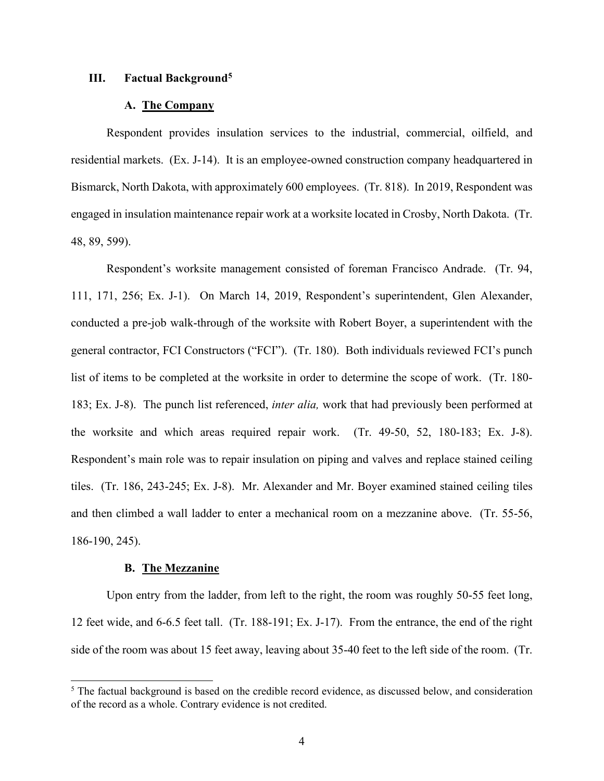### **III. Factual Background5**

## **A. The Company**

Respondent provides insulation services to the industrial, commercial, oilfield, and residential markets. (Ex. J-14). It is an employee-owned construction company headquartered in Bismarck, North Dakota, with approximately 600 employees. (Tr. 818). In 2019, Respondent was engaged in insulation maintenance repair work at a worksite located in Crosby, North Dakota. (Tr. 48, 89, 599).

Respondent's worksite management consisted of foreman Francisco Andrade. (Tr. 94, 111, 171, 256; Ex. J-1). On March 14, 2019, Respondent's superintendent, Glen Alexander, conducted a pre-job walk-through of the worksite with Robert Boyer, a superintendent with the general contractor, FCI Constructors ("FCI"). (Tr. 180). Both individuals reviewed FCI's punch list of items to be completed at the worksite in order to determine the scope of work. (Tr. 180- 183; Ex. J-8). The punch list referenced, *inter alia,* work that had previously been performed at the worksite and which areas required repair work. (Tr. 49-50, 52, 180-183; Ex. J-8). Respondent's main role was to repair insulation on piping and valves and replace stained ceiling tiles. (Tr. 186, 243-245; Ex. J-8). Mr. Alexander and Mr. Boyer examined stained ceiling tiles and then climbed a wall ladder to enter a mechanical room on a mezzanine above. (Tr. 55-56, 186-190, 245).

### **B. The Mezzanine**

Upon entry from the ladder, from left to the right, the room was roughly 50-55 feet long, 12 feet wide, and 6-6.5 feet tall. (Tr. 188-191; Ex. J-17). From the entrance, the end of the right side of the room was about 15 feet away, leaving about 35-40 feet to the left side of the room. (Tr.

<sup>&</sup>lt;sup>5</sup> The factual background is based on the credible record evidence, as discussed below, and consideration of the record as a whole. Contrary evidence is not credited.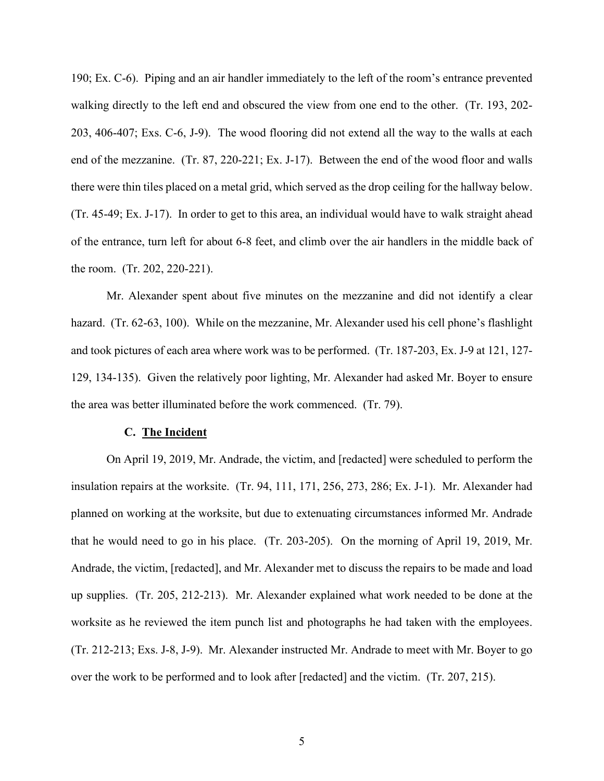190; Ex. C-6). Piping and an air handler immediately to the left of the room's entrance prevented walking directly to the left end and obscured the view from one end to the other. (Tr. 193, 202- 203, 406-407; Exs. C-6, J-9). The wood flooring did not extend all the way to the walls at each end of the mezzanine. (Tr. 87, 220-221; Ex. J-17). Between the end of the wood floor and walls there were thin tiles placed on a metal grid, which served as the drop ceiling for the hallway below. (Tr. 45-49; Ex. J-17). In order to get to this area, an individual would have to walk straight ahead of the entrance, turn left for about 6-8 feet, and climb over the air handlers in the middle back of the room. (Tr. 202, 220-221).

Mr. Alexander spent about five minutes on the mezzanine and did not identify a clear hazard. (Tr. 62-63, 100). While on the mezzanine, Mr. Alexander used his cell phone's flashlight and took pictures of each area where work was to be performed. (Tr. 187-203, Ex. J-9 at 121, 127- 129, 134-135). Given the relatively poor lighting, Mr. Alexander had asked Mr. Boyer to ensure the area was better illuminated before the work commenced. (Tr. 79).

### **C. The Incident**

On April 19, 2019, Mr. Andrade, the victim, and [redacted] were scheduled to perform the insulation repairs at the worksite. (Tr. 94, 111, 171, 256, 273, 286; Ex. J-1). Mr. Alexander had planned on working at the worksite, but due to extenuating circumstances informed Mr. Andrade that he would need to go in his place. (Tr. 203-205). On the morning of April 19, 2019, Mr. Andrade, the victim, [redacted], and Mr. Alexander met to discuss the repairs to be made and load up supplies. (Tr. 205, 212-213). Mr. Alexander explained what work needed to be done at the worksite as he reviewed the item punch list and photographs he had taken with the employees. (Tr. 212-213; Exs. J-8, J-9). Mr. Alexander instructed Mr. Andrade to meet with Mr. Boyer to go over the work to be performed and to look after [redacted] and the victim. (Tr. 207, 215).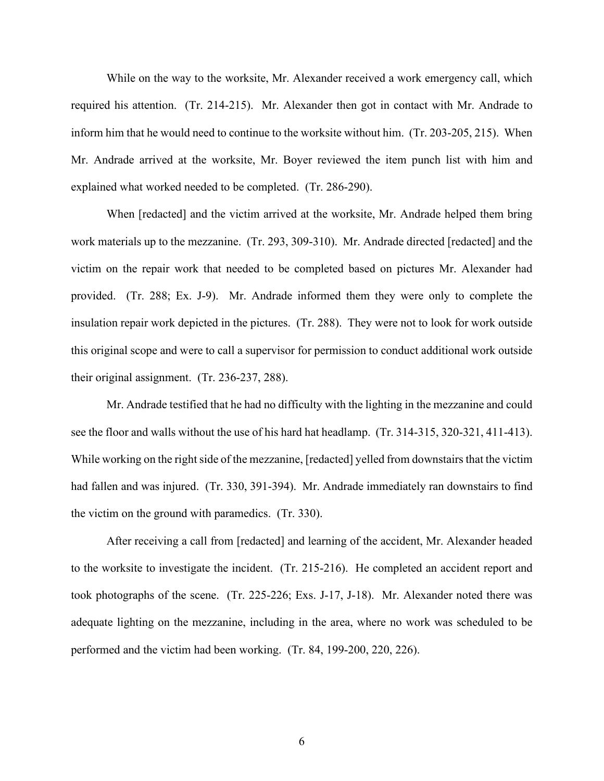While on the way to the worksite, Mr. Alexander received a work emergency call, which required his attention. (Tr. 214-215). Mr. Alexander then got in contact with Mr. Andrade to inform him that he would need to continue to the worksite without him. (Tr. 203-205, 215). When Mr. Andrade arrived at the worksite, Mr. Boyer reviewed the item punch list with him and explained what worked needed to be completed. (Tr. 286-290).

When [redacted] and the victim arrived at the worksite, Mr. Andrade helped them bring work materials up to the mezzanine. (Tr. 293, 309-310). Mr. Andrade directed [redacted] and the victim on the repair work that needed to be completed based on pictures Mr. Alexander had provided. (Tr. 288; Ex. J-9). Mr. Andrade informed them they were only to complete the insulation repair work depicted in the pictures. (Tr. 288). They were not to look for work outside this original scope and were to call a supervisor for permission to conduct additional work outside their original assignment. (Tr. 236-237, 288).

Mr. Andrade testified that he had no difficulty with the lighting in the mezzanine and could see the floor and walls without the use of his hard hat headlamp. (Tr. 314-315, 320-321, 411-413). While working on the right side of the mezzanine, [redacted] yelled from downstairs that the victim had fallen and was injured. (Tr. 330, 391-394). Mr. Andrade immediately ran downstairs to find the victim on the ground with paramedics. (Tr. 330).

After receiving a call from [redacted] and learning of the accident, Mr. Alexander headed to the worksite to investigate the incident. (Tr. 215-216). He completed an accident report and took photographs of the scene. (Tr. 225-226; Exs. J-17, J-18). Mr. Alexander noted there was adequate lighting on the mezzanine, including in the area, where no work was scheduled to be performed and the victim had been working. (Tr. 84, 199-200, 220, 226).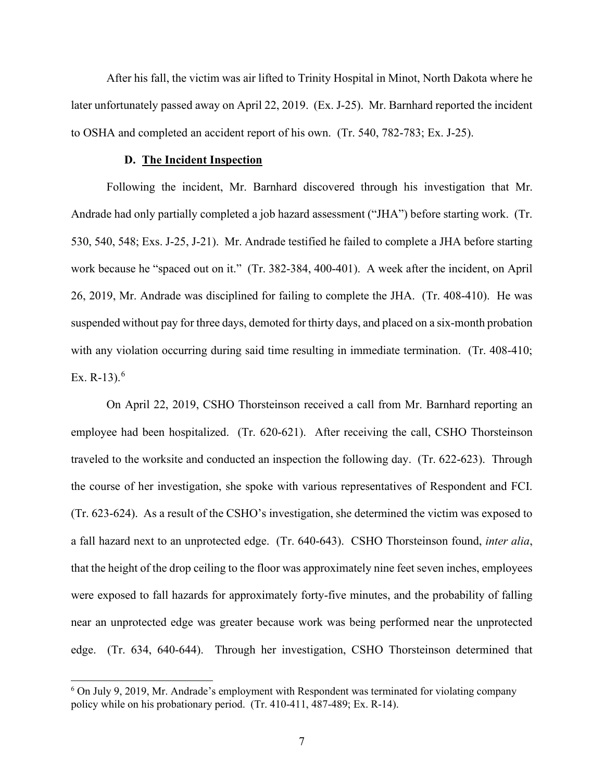After his fall, the victim was air lifted to Trinity Hospital in Minot, North Dakota where he later unfortunately passed away on April 22, 2019. (Ex. J-25). Mr. Barnhard reported the incident to OSHA and completed an accident report of his own. (Tr. 540, 782-783; Ex. J-25).

#### **D. The Incident Inspection**

Following the incident, Mr. Barnhard discovered through his investigation that Mr. Andrade had only partially completed a job hazard assessment ("JHA") before starting work. (Tr. 530, 540, 548; Exs. J-25, J-21). Mr. Andrade testified he failed to complete a JHA before starting work because he "spaced out on it." (Tr. 382-384, 400-401). A week after the incident, on April 26, 2019, Mr. Andrade was disciplined for failing to complete the JHA. (Tr. 408-410). He was suspended without pay for three days, demoted for thirty days, and placed on a six-month probation with any violation occurring during said time resulting in immediate termination. (Tr. 408-410; Ex. R-13). $^{6}$ 

On April 22, 2019, CSHO Thorsteinson received a call from Mr. Barnhard reporting an employee had been hospitalized. (Tr. 620-621). After receiving the call, CSHO Thorsteinson traveled to the worksite and conducted an inspection the following day. (Tr. 622-623). Through the course of her investigation, she spoke with various representatives of Respondent and FCI. (Tr. 623-624). As a result of the CSHO's investigation, she determined the victim was exposed to a fall hazard next to an unprotected edge. (Tr. 640-643). CSHO Thorsteinson found, *inter alia*, that the height of the drop ceiling to the floor was approximately nine feet seven inches, employees were exposed to fall hazards for approximately forty-five minutes, and the probability of falling near an unprotected edge was greater because work was being performed near the unprotected edge. (Tr. 634, 640-644). Through her investigation, CSHO Thorsteinson determined that

<sup>&</sup>lt;sup>6</sup> On July 9, 2019, Mr. Andrade's employment with Respondent was terminated for violating company policy while on his probationary period. (Tr. 410-411, 487-489; Ex. R-14).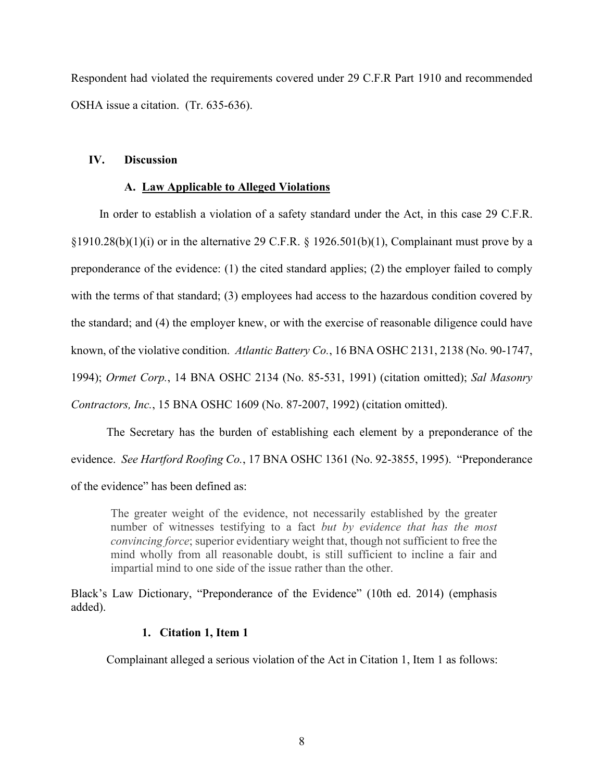Respondent had violated the requirements covered under 29 C.F.R Part 1910 and recommended OSHA issue a citation. (Tr. 635-636).

# **IV. Discussion**

# **A. Law Applicable to Alleged Violations**

 In order to establish a violation of a safety standard under the Act, in this case 29 C.F.R.  $\S 1910.28(b)(1)(i)$  or in the alternative 29 C.F.R.  $\S 1926.501(b)(1)$ , Complainant must prove by a preponderance of the evidence: (1) the cited standard applies; (2) the employer failed to comply with the terms of that standard; (3) employees had access to the hazardous condition covered by the standard; and (4) the employer knew, or with the exercise of reasonable diligence could have known, of the violative condition. *Atlantic Battery Co.*, 16 BNA OSHC 2131, 2138 (No. 90-1747, 1994); *Ormet Corp.*, 14 BNA OSHC 2134 (No. 85-531, 1991) (citation omitted); *Sal Masonry Contractors, Inc.*, 15 BNA OSHC 1609 (No. 87-2007, 1992) (citation omitted).

The Secretary has the burden of establishing each element by a preponderance of the evidence. *See Hartford Roofing Co.*, 17 BNA OSHC 1361 (No. 92-3855, 1995). "Preponderance of the evidence" has been defined as:

The greater weight of the evidence, not necessarily established by the greater number of witnesses testifying to a fact *but by evidence that has the most convincing force*; superior evidentiary weight that, though not sufficient to free the mind wholly from all reasonable doubt, is still sufficient to incline a fair and impartial mind to one side of the issue rather than the other.

Black's Law Dictionary, "Preponderance of the Evidence" (10th ed. 2014) (emphasis added).

# **1. Citation 1, Item 1**

Complainant alleged a serious violation of the Act in Citation 1, Item 1 as follows: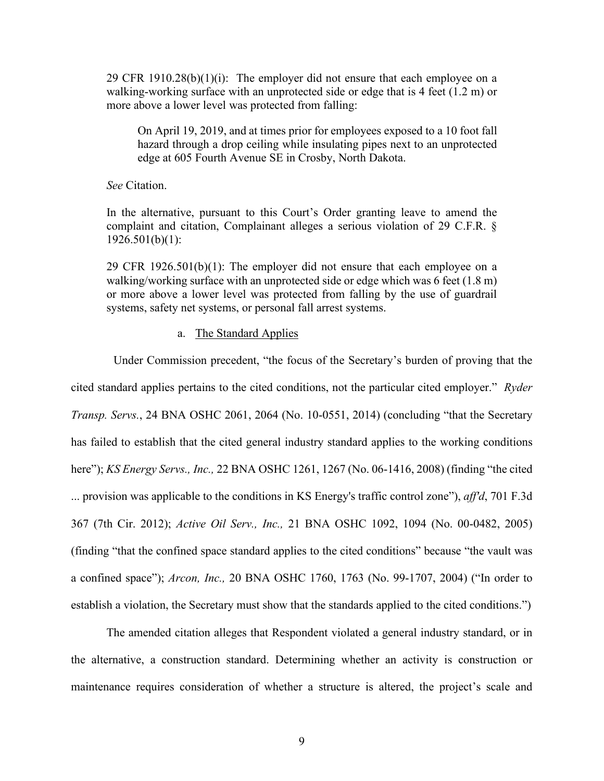29 CFR 1910.28 $(b)(1)(i)$ : The employer did not ensure that each employee on a walking-working surface with an unprotected side or edge that is 4 feet (1.2 m) or more above a lower level was protected from falling:

 On April 19, 2019, and at times prior for employees exposed to a 10 foot fall hazard through a drop ceiling while insulating pipes next to an unprotected edge at 605 Fourth Avenue SE in Crosby, North Dakota.

*See* Citation.

In the alternative, pursuant to this Court's Order granting leave to amend the complaint and citation, Complainant alleges a serious violation of 29 C.F.R. §  $1926.501(b)(1)$ :

29 CFR 1926.501(b)(1): The employer did not ensure that each employee on a walking/working surface with an unprotected side or edge which was 6 feet (1.8 m) or more above a lower level was protected from falling by the use of guardrail systems, safety net systems, or personal fall arrest systems.

## a. The Standard Applies

Under Commission precedent, "the focus of the Secretary's burden of proving that the cited standard applies pertains to the cited conditions, not the particular cited employer." *Ryder Transp. Servs.*, 24 BNA OSHC 2061, 2064 (No. 10-0551, 2014) (concluding "that the Secretary has failed to establish that the cited general industry standard applies to the working conditions here"); *KS Energy Servs., Inc.,* 22 BNA OSHC 1261, 1267 (No. 06-1416, 2008) (finding "the cited ... provision was applicable to the conditions in KS Energy's traffic control zone"), *aff'd*, 701 F.3d 367 (7th Cir. 2012); *Active Oil Serv., Inc.,* 21 BNA OSHC 1092, 1094 (No. 00-0482, 2005) (finding "that the confined space standard applies to the cited conditions" because "the vault was a confined space"); *Arcon, Inc.,* 20 BNA OSHC 1760, 1763 (No. 99-1707, 2004) ("In order to establish a violation, the Secretary must show that the standards applied to the cited conditions.")

The amended citation alleges that Respondent violated a general industry standard, or in the alternative, a construction standard. Determining whether an activity is construction or maintenance requires consideration of whether a structure is altered, the project's scale and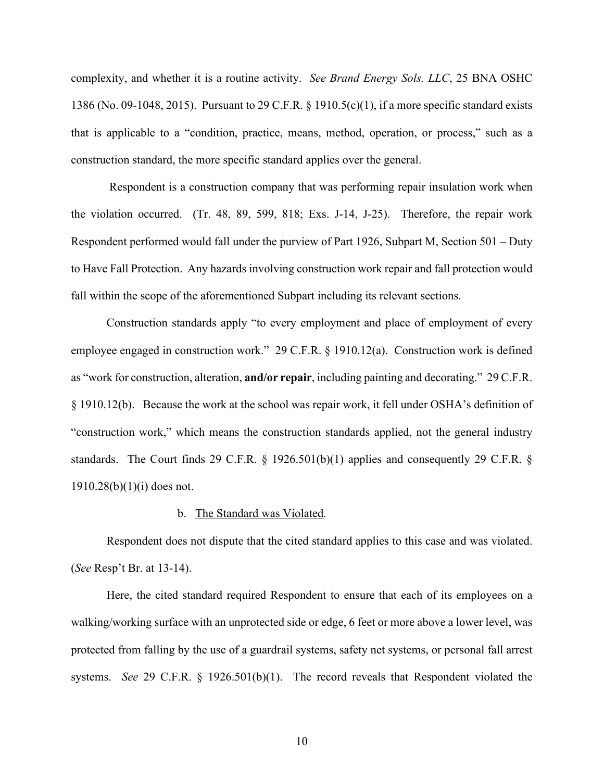complexity, and whether it is a routine activity. *See Brand Energy Sols. LLC*, 25 BNA OSHC 1386 (No. 09-1048, 2015). Pursuant to 29 C.F.R. § 1910.5(c)(1), if a more specific standard exists that is applicable to a "condition, practice, means, method, operation, or process," such as a construction standard, the more specific standard applies over the general.

 Respondent is a construction company that was performing repair insulation work when the violation occurred. (Tr. 48, 89, 599, 818; Exs. J-14, J-25). Therefore, the repair work Respondent performed would fall under the purview of Part 1926, Subpart M, Section 501 – Duty to Have Fall Protection. Any hazards involving construction work repair and fall protection would fall within the scope of the aforementioned Subpart including its relevant sections.

Construction standards apply "to every employment and place of employment of every employee engaged in construction work." 29 C.F.R. § 1910.12(a). Construction work is defined as "work for construction, alteration, **and/or repair**, including painting and decorating." 29 C.F.R. § 1910.12(b). Because the work at the school was repair work, it fell under OSHA's definition of "construction work," which means the construction standards applied, not the general industry standards. The Court finds 29 C.F.R. § 1926.501(b)(1) applies and consequently 29 C.F.R. § 1910.28(b)(1)(i) does not.

### b. The Standard was Violated*.*

 Respondent does not dispute that the cited standard applies to this case and was violated. (*See* Resp't Br. at 13-14).

Here, the cited standard required Respondent to ensure that each of its employees on a walking/working surface with an unprotected side or edge, 6 feet or more above a lower level, was protected from falling by the use of a guardrail systems, safety net systems, or personal fall arrest systems. *See* 29 C.F.R. § 1926.501(b)(1). The record reveals that Respondent violated the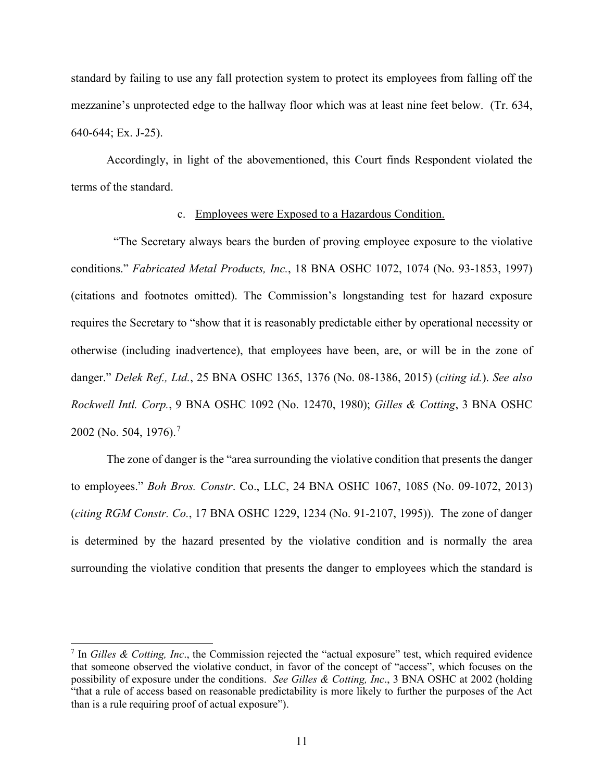standard by failing to use any fall protection system to protect its employees from falling off the mezzanine's unprotected edge to the hallway floor which was at least nine feet below. (Tr. 634, 640-644; Ex. J-25).

Accordingly, in light of the abovementioned, this Court finds Respondent violated the terms of the standard.

## c. Employees were Exposed to a Hazardous Condition.

 "The Secretary always bears the burden of proving employee exposure to the violative conditions." *Fabricated Metal Products, Inc.*, 18 BNA OSHC 1072, 1074 (No. 93-1853, 1997) (citations and footnotes omitted). The Commission's longstanding test for hazard exposure requires the Secretary to "show that it is reasonably predictable either by operational necessity or otherwise (including inadvertence), that employees have been, are, or will be in the zone of danger." *Delek Ref., Ltd.*, 25 BNA OSHC 1365, 1376 (No. 08-1386, 2015) (*citing id.*). *See also Rockwell Intl. Corp.*, 9 BNA OSHC 1092 (No. 12470, 1980); *Gilles & Cotting*, 3 BNA OSHC 2002 (No. 504, 1976).<sup>7</sup>

The zone of danger is the "area surrounding the violative condition that presents the danger to employees." *Boh Bros. Constr*. Co., LLC, 24 BNA OSHC 1067, 1085 (No. 09-1072, 2013) (*citing RGM Constr. Co.*, 17 BNA OSHC 1229, 1234 (No. 91-2107, 1995)). The zone of danger is determined by the hazard presented by the violative condition and is normally the area surrounding the violative condition that presents the danger to employees which the standard is

<sup>7</sup> In *Gilles & Cotting, Inc*., the Commission rejected the "actual exposure" test, which required evidence that someone observed the violative conduct, in favor of the concept of "access", which focuses on the possibility of exposure under the conditions. *See Gilles & Cotting, Inc*., 3 BNA OSHC at 2002 (holding "that a rule of access based on reasonable predictability is more likely to further the purposes of the Act than is a rule requiring proof of actual exposure").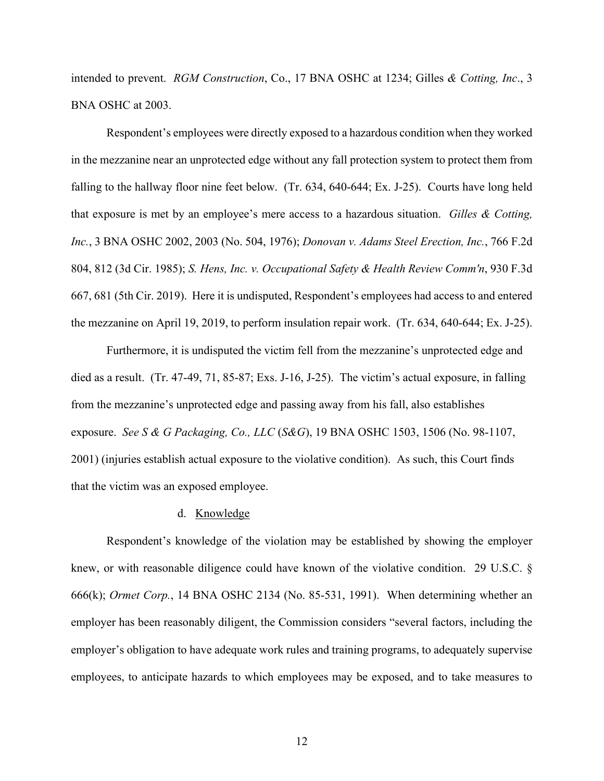intended to prevent. *RGM Construction*, Co., 17 BNA OSHC at 1234; Gilles *& Cotting, Inc*., 3 BNA OSHC at 2003.

Respondent's employees were directly exposed to a hazardous condition when they worked in the mezzanine near an unprotected edge without any fall protection system to protect them from falling to the hallway floor nine feet below. (Tr. 634, 640-644; Ex. J-25). Courts have long held that exposure is met by an employee's mere access to a hazardous situation. *Gilles & Cotting, Inc.*, 3 BNA OSHC 2002, 2003 (No. 504, 1976); *Donovan v. Adams Steel Erection, Inc.*, 766 F.2d 804, 812 (3d Cir. 1985); *S. Hens, Inc. v. Occupational Safety & Health Review Comm'n*, 930 F.3d 667, 681 (5th Cir. 2019). Here it is undisputed, Respondent's employees had access to and entered the mezzanine on April 19, 2019, to perform insulation repair work. (Tr. 634, 640-644; Ex. J-25).

Furthermore, it is undisputed the victim fell from the mezzanine's unprotected edge and died as a result. (Tr. 47-49, 71, 85-87; Exs. J-16, J-25). The victim's actual exposure, in falling from the mezzanine's unprotected edge and passing away from his fall, also establishes exposure. *See S & G Packaging, Co., LLC* (*S&G*), 19 BNA OSHC 1503, 1506 (No. 98-1107, 2001) (injuries establish actual exposure to the violative condition). As such, this Court finds that the victim was an exposed employee.

#### d. Knowledge

Respondent's knowledge of the violation may be established by showing the employer knew, or with reasonable diligence could have known of the violative condition. 29 U.S.C. § 666(k); *Ormet Corp.*, 14 BNA OSHC 2134 (No. 85-531, 1991). When determining whether an employer has been reasonably diligent, the Commission considers "several factors, including the employer's obligation to have adequate work rules and training programs, to adequately supervise employees, to anticipate hazards to which employees may be exposed, and to take measures to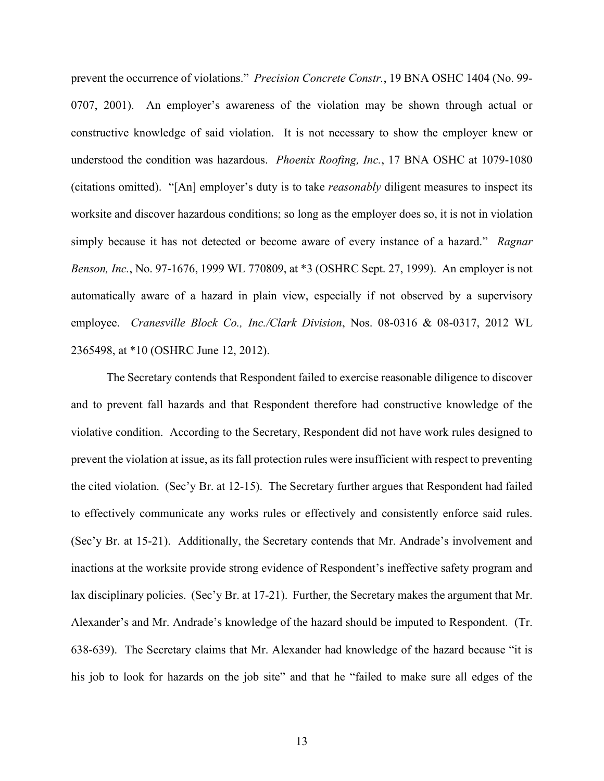prevent the occurrence of violations." *Precision Concrete Constr.*, 19 BNA OSHC 1404 (No. 99- 0707, 2001). An employer's awareness of the violation may be shown through actual or constructive knowledge of said violation. It is not necessary to show the employer knew or understood the condition was hazardous. *Phoenix Roofing, Inc.*, 17 BNA OSHC at 1079-1080 (citations omitted). "[An] employer's duty is to take *reasonably* diligent measures to inspect its worksite and discover hazardous conditions; so long as the employer does so, it is not in violation simply because it has not detected or become aware of every instance of a hazard." *Ragnar Benson, Inc.*, No. 97-1676, 1999 WL 770809, at \*3 (OSHRC Sept. 27, 1999). An employer is not automatically aware of a hazard in plain view, especially if not observed by a supervisory employee. *Cranesville Block Co., Inc./Clark Division*, Nos. 08-0316 & 08-0317, 2012 WL 2365498, at \*10 (OSHRC June 12, 2012).

The Secretary contends that Respondent failed to exercise reasonable diligence to discover and to prevent fall hazards and that Respondent therefore had constructive knowledge of the violative condition. According to the Secretary, Respondent did not have work rules designed to prevent the violation at issue, as its fall protection rules were insufficient with respect to preventing the cited violation. (Sec'y Br. at 12-15). The Secretary further argues that Respondent had failed to effectively communicate any works rules or effectively and consistently enforce said rules. (Sec'y Br. at 15-21). Additionally, the Secretary contends that Mr. Andrade's involvement and inactions at the worksite provide strong evidence of Respondent's ineffective safety program and lax disciplinary policies. (Sec'y Br. at 17-21). Further, the Secretary makes the argument that Mr. Alexander's and Mr. Andrade's knowledge of the hazard should be imputed to Respondent. (Tr. 638-639). The Secretary claims that Mr. Alexander had knowledge of the hazard because "it is his job to look for hazards on the job site" and that he "failed to make sure all edges of the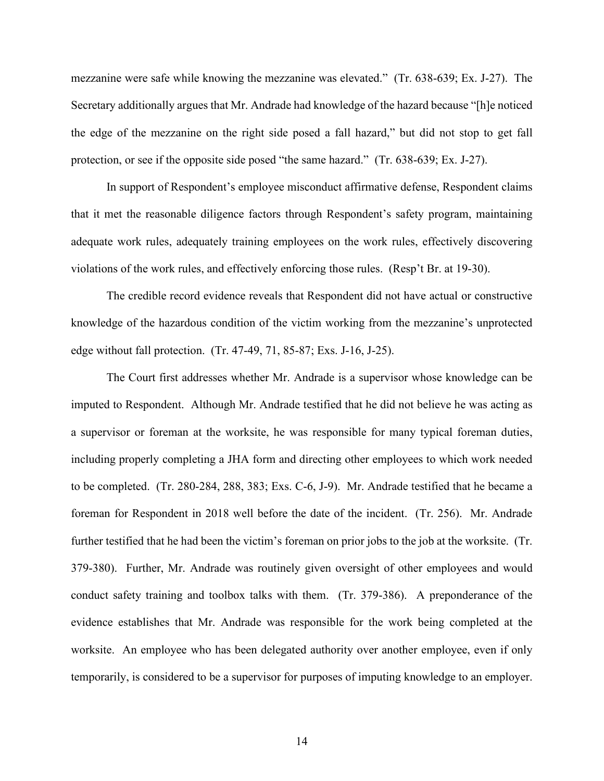mezzanine were safe while knowing the mezzanine was elevated." (Tr. 638-639; Ex. J-27). The Secretary additionally argues that Mr. Andrade had knowledge of the hazard because "[h]e noticed the edge of the mezzanine on the right side posed a fall hazard," but did not stop to get fall protection, or see if the opposite side posed "the same hazard." (Tr. 638-639; Ex. J-27).

In support of Respondent's employee misconduct affirmative defense, Respondent claims that it met the reasonable diligence factors through Respondent's safety program, maintaining adequate work rules, adequately training employees on the work rules, effectively discovering violations of the work rules, and effectively enforcing those rules. (Resp't Br. at 19-30).

The credible record evidence reveals that Respondent did not have actual or constructive knowledge of the hazardous condition of the victim working from the mezzanine's unprotected edge without fall protection. (Tr. 47-49, 71, 85-87; Exs. J-16, J-25).

The Court first addresses whether Mr. Andrade is a supervisor whose knowledge can be imputed to Respondent. Although Mr. Andrade testified that he did not believe he was acting as a supervisor or foreman at the worksite, he was responsible for many typical foreman duties, including properly completing a JHA form and directing other employees to which work needed to be completed. (Tr. 280-284, 288, 383; Exs. C-6, J-9). Mr. Andrade testified that he became a foreman for Respondent in 2018 well before the date of the incident. (Tr. 256). Mr. Andrade further testified that he had been the victim's foreman on prior jobs to the job at the worksite. (Tr. 379-380). Further, Mr. Andrade was routinely given oversight of other employees and would conduct safety training and toolbox talks with them. (Tr. 379-386). A preponderance of the evidence establishes that Mr. Andrade was responsible for the work being completed at the worksite. An employee who has been delegated authority over another employee, even if only temporarily, is considered to be a supervisor for purposes of imputing knowledge to an employer.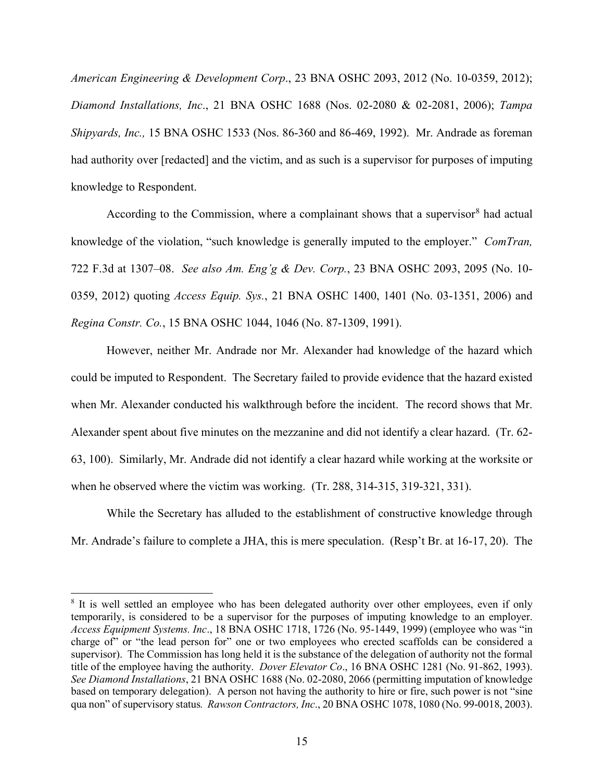*American Engineering & Development Corp*., 23 BNA OSHC 2093, 2012 (No. 10-0359, 2012); *Diamond Installations, Inc*., 21 BNA OSHC 1688 (Nos. 02-2080 & 02-2081, 2006); *Tampa Shipyards, Inc.,* 15 BNA OSHC 1533 (Nos. 86-360 and 86-469, 1992). Mr. Andrade as foreman had authority over [redacted] and the victim, and as such is a supervisor for purposes of imputing knowledge to Respondent.

According to the Commission, where a complainant shows that a supervisor<sup>8</sup> had actual knowledge of the violation, "such knowledge is generally imputed to the employer." *ComTran,*  722 F.3d at 1307–08. *See also Am. Eng'g & Dev. Corp.*, 23 BNA OSHC 2093, 2095 (No. 10- 0359, 2012) quoting *Access Equip. Sys.*, 21 BNA OSHC 1400, 1401 (No. 03-1351, 2006) and *Regina Constr. Co.*, 15 BNA OSHC 1044, 1046 (No. 87-1309, 1991).

However, neither Mr. Andrade nor Mr. Alexander had knowledge of the hazard which could be imputed to Respondent. The Secretary failed to provide evidence that the hazard existed when Mr. Alexander conducted his walkthrough before the incident. The record shows that Mr. Alexander spent about five minutes on the mezzanine and did not identify a clear hazard. (Tr. 62- 63, 100). Similarly, Mr. Andrade did not identify a clear hazard while working at the worksite or when he observed where the victim was working. (Tr. 288, 314-315, 319-321, 331).

While the Secretary has alluded to the establishment of constructive knowledge through Mr. Andrade's failure to complete a JHA, this is mere speculation. (Resp't Br. at 16-17, 20). The

<sup>&</sup>lt;sup>8</sup> It is well settled an employee who has been delegated authority over other employees, even if only temporarily, is considered to be a supervisor for the purposes of imputing knowledge to an employer. *Access Equipment Systems. Inc*., 18 BNA OSHC 1718, 1726 (No. 95-1449, 1999) (employee who was "in charge of" or "the lead person for" one or two employees who erected scaffolds can be considered a supervisor). The Commission has long held it is the substance of the delegation of authority not the formal title of the employee having the authority. *Dover Elevator Co*., 16 BNA OSHC 1281 (No. 91-862, 1993). *See Diamond Installations*, 21 BNA OSHC 1688 (No. 02-2080, 2066 (permitting imputation of knowledge based on temporary delegation). A person not having the authority to hire or fire, such power is not "sine qua non" of supervisory status*. Rawson Contractors, Inc*., 20 BNA OSHC 1078, 1080 (No. 99-0018, 2003).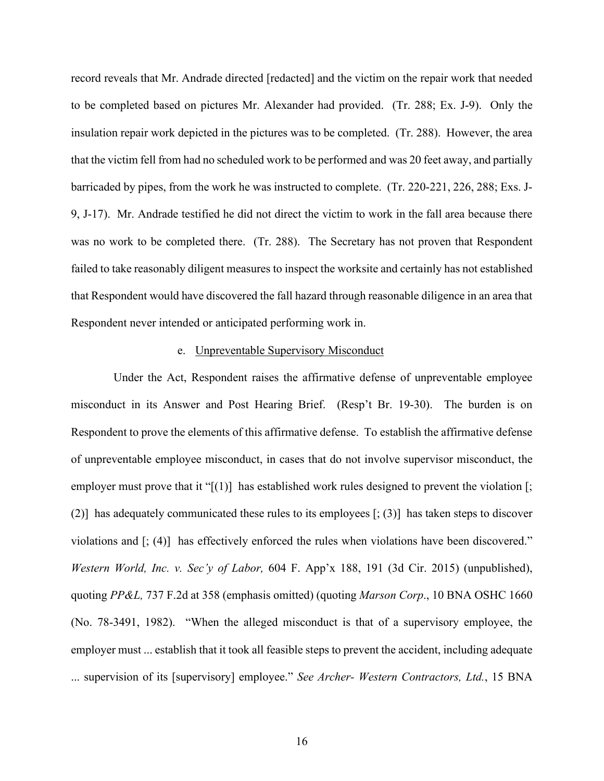record reveals that Mr. Andrade directed [redacted] and the victim on the repair work that needed to be completed based on pictures Mr. Alexander had provided. (Tr. 288; Ex. J-9). Only the insulation repair work depicted in the pictures was to be completed. (Tr. 288). However, the area that the victim fell from had no scheduled work to be performed and was 20 feet away, and partially barricaded by pipes, from the work he was instructed to complete. (Tr. 220-221, 226, 288; Exs. J-9, J-17). Mr. Andrade testified he did not direct the victim to work in the fall area because there was no work to be completed there. (Tr. 288). The Secretary has not proven that Respondent failed to take reasonably diligent measures to inspect the worksite and certainly has not established that Respondent would have discovered the fall hazard through reasonable diligence in an area that Respondent never intended or anticipated performing work in.

## e. Unpreventable Supervisory Misconduct

Under the Act, Respondent raises the affirmative defense of unpreventable employee misconduct in its Answer and Post Hearing Brief. (Resp't Br. 19-30). The burden is on Respondent to prove the elements of this affirmative defense. To establish the affirmative defense of unpreventable employee misconduct, in cases that do not involve supervisor misconduct, the employer must prove that it " $[(1)]$  has established work rules designed to prevent the violation  $[$ ; (2)] has adequately communicated these rules to its employees [; (3)] has taken steps to discover violations and [; (4)] has effectively enforced the rules when violations have been discovered." *Western World, Inc. v. Sec'y of Labor,* 604 F. App'x 188, 191 (3d Cir. 2015) (unpublished), quoting *PP&L,* 737 F.2d at 358 (emphasis omitted) (quoting *Marson Corp*., 10 BNA OSHC 1660 (No. 78-3491, 1982). "When the alleged misconduct is that of a supervisory employee, the employer must ... establish that it took all feasible steps to prevent the accident, including adequate ... supervision of its [supervisory] employee." *See Archer- Western Contractors, Ltd.*, 15 BNA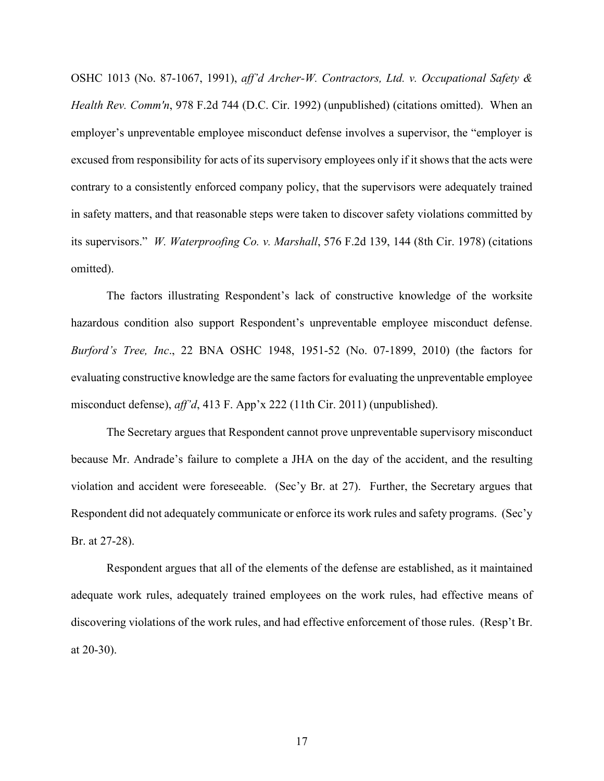OSHC 1013 (No. 87-1067, 1991), *aff'd Archer-W. Contractors, Ltd. v. Occupational Safety & Health Rev. Comm'n*, 978 F.2d 744 (D.C. Cir. 1992) (unpublished) (citations omitted). When an employer's unpreventable employee misconduct defense involves a supervisor, the "employer is excused from responsibility for acts of its supervisory employees only if it shows that the acts were contrary to a consistently enforced company policy, that the supervisors were adequately trained in safety matters, and that reasonable steps were taken to discover safety violations committed by its supervisors." *W. Waterproofing Co. v. Marshall*, 576 F.2d 139, 144 (8th Cir. 1978) (citations omitted).

The factors illustrating Respondent's lack of constructive knowledge of the worksite hazardous condition also support Respondent's unpreventable employee misconduct defense. *Burford's Tree, Inc*., 22 BNA OSHC 1948, 1951-52 (No. 07-1899, 2010) (the factors for evaluating constructive knowledge are the same factors for evaluating the unpreventable employee misconduct defense), *aff'd*, 413 F. App'x 222 (11th Cir. 2011) (unpublished).

The Secretary argues that Respondent cannot prove unpreventable supervisory misconduct because Mr. Andrade's failure to complete a JHA on the day of the accident, and the resulting violation and accident were foreseeable. (Sec'y Br. at 27). Further, the Secretary argues that Respondent did not adequately communicate or enforce its work rules and safety programs. (Sec'y Br. at 27-28).

Respondent argues that all of the elements of the defense are established, as it maintained adequate work rules, adequately trained employees on the work rules, had effective means of discovering violations of the work rules, and had effective enforcement of those rules. (Resp't Br. at 20-30).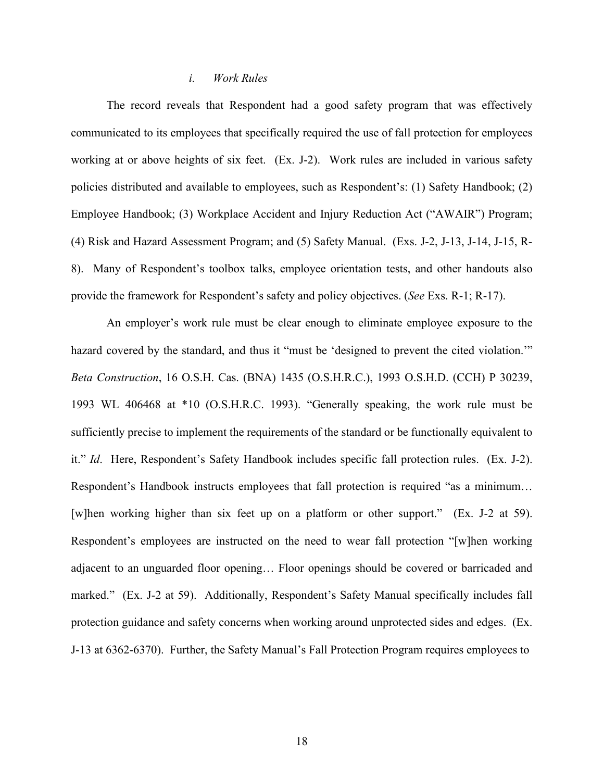### *i. Work Rules*

The record reveals that Respondent had a good safety program that was effectively communicated to its employees that specifically required the use of fall protection for employees working at or above heights of six feet. (Ex. J-2). Work rules are included in various safety policies distributed and available to employees, such as Respondent's: (1) Safety Handbook; (2) Employee Handbook; (3) Workplace Accident and Injury Reduction Act ("AWAIR") Program; (4) Risk and Hazard Assessment Program; and (5) Safety Manual. (Exs. J-2, J-13, J-14, J-15, R-8). Many of Respondent's toolbox talks, employee orientation tests, and other handouts also provide the framework for Respondent's safety and policy objectives. (*See* Exs. R-1; R-17).

An employer's work rule must be clear enough to eliminate employee exposure to the hazard covered by the standard, and thus it "must be 'designed to prevent the cited violation.'" *Beta Construction*, 16 O.S.H. Cas. (BNA) 1435 (O.S.H.R.C.), 1993 O.S.H.D. (CCH) P 30239, 1993 WL 406468 at \*10 (O.S.H.R.C. 1993). "Generally speaking, the work rule must be sufficiently precise to implement the requirements of the standard or be functionally equivalent to it." *Id*. Here, Respondent's Safety Handbook includes specific fall protection rules. (Ex. J-2). Respondent's Handbook instructs employees that fall protection is required "as a minimum… [w]hen working higher than six feet up on a platform or other support." (Ex. J-2 at 59). Respondent's employees are instructed on the need to wear fall protection "[w]hen working adjacent to an unguarded floor opening… Floor openings should be covered or barricaded and marked." (Ex. J-2 at 59). Additionally, Respondent's Safety Manual specifically includes fall protection guidance and safety concerns when working around unprotected sides and edges. (Ex. J-13 at 6362-6370). Further, the Safety Manual's Fall Protection Program requires employees to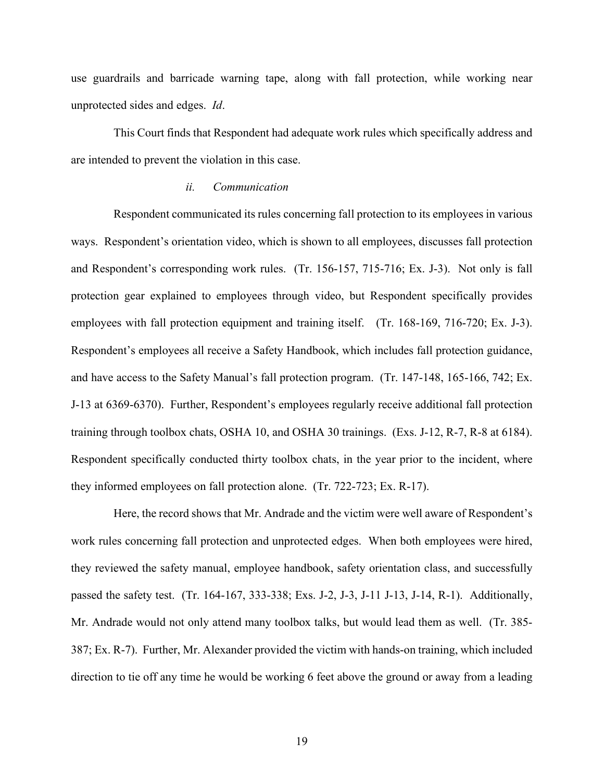use guardrails and barricade warning tape, along with fall protection, while working near unprotected sides and edges. *Id*.

This Court finds that Respondent had adequate work rules which specifically address and are intended to prevent the violation in this case.

### *ii. Communication*

 Respondent communicated its rules concerning fall protection to its employees in various ways. Respondent's orientation video, which is shown to all employees, discusses fall protection and Respondent's corresponding work rules. (Tr. 156-157, 715-716; Ex. J-3). Not only is fall protection gear explained to employees through video, but Respondent specifically provides employees with fall protection equipment and training itself. (Tr. 168-169, 716-720; Ex. J-3). Respondent's employees all receive a Safety Handbook, which includes fall protection guidance, and have access to the Safety Manual's fall protection program. (Tr. 147-148, 165-166, 742; Ex. J-13 at 6369-6370). Further, Respondent's employees regularly receive additional fall protection training through toolbox chats, OSHA 10, and OSHA 30 trainings. (Exs. J-12, R-7, R-8 at 6184). Respondent specifically conducted thirty toolbox chats, in the year prior to the incident, where they informed employees on fall protection alone. (Tr. 722-723; Ex. R-17).

 Here, the record shows that Mr. Andrade and the victim were well aware of Respondent's work rules concerning fall protection and unprotected edges. When both employees were hired, they reviewed the safety manual, employee handbook, safety orientation class, and successfully passed the safety test. (Tr. 164-167, 333-338; Exs. J-2, J-3, J-11 J-13, J-14, R-1). Additionally, Mr. Andrade would not only attend many toolbox talks, but would lead them as well. (Tr. 385- 387; Ex. R-7). Further, Mr. Alexander provided the victim with hands-on training, which included direction to tie off any time he would be working 6 feet above the ground or away from a leading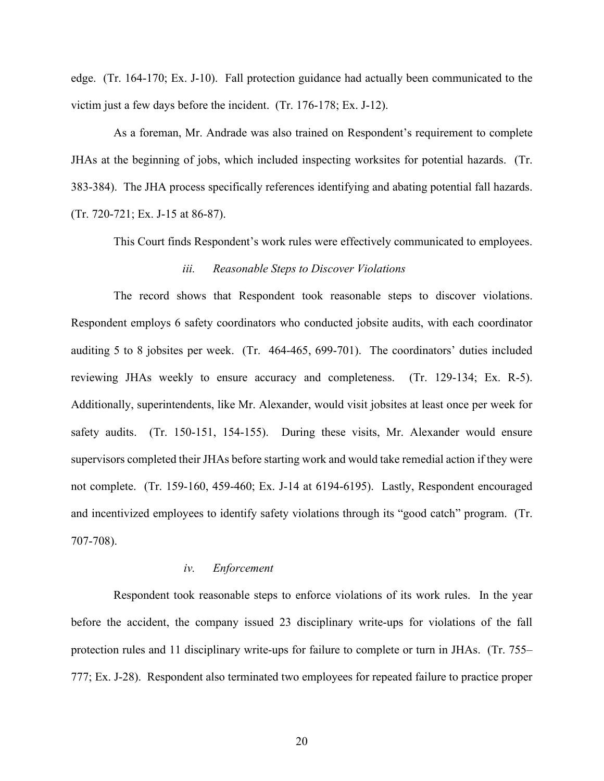edge. (Tr. 164-170; Ex. J-10). Fall protection guidance had actually been communicated to the victim just a few days before the incident. (Tr. 176-178; Ex. J-12).

 As a foreman, Mr. Andrade was also trained on Respondent's requirement to complete JHAs at the beginning of jobs, which included inspecting worksites for potential hazards. (Tr. 383-384). The JHA process specifically references identifying and abating potential fall hazards. (Tr. 720-721; Ex. J-15 at 86-87).

This Court finds Respondent's work rules were effectively communicated to employees.

### *iii. Reasonable Steps to Discover Violations*

 The record shows that Respondent took reasonable steps to discover violations. Respondent employs 6 safety coordinators who conducted jobsite audits, with each coordinator auditing 5 to 8 jobsites per week. (Tr. 464-465, 699-701). The coordinators' duties included reviewing JHAs weekly to ensure accuracy and completeness. (Tr. 129-134; Ex. R-5). Additionally, superintendents, like Mr. Alexander, would visit jobsites at least once per week for safety audits. (Tr. 150-151, 154-155). During these visits, Mr. Alexander would ensure supervisors completed their JHAs before starting work and would take remedial action if they were not complete. (Tr. 159-160, 459-460; Ex. J-14 at 6194-6195). Lastly, Respondent encouraged and incentivized employees to identify safety violations through its "good catch" program. (Tr. 707-708).

#### *iv. Enforcement*

 Respondent took reasonable steps to enforce violations of its work rules. In the year before the accident, the company issued 23 disciplinary write-ups for violations of the fall protection rules and 11 disciplinary write-ups for failure to complete or turn in JHAs. (Tr. 755– 777; Ex. J-28). Respondent also terminated two employees for repeated failure to practice proper